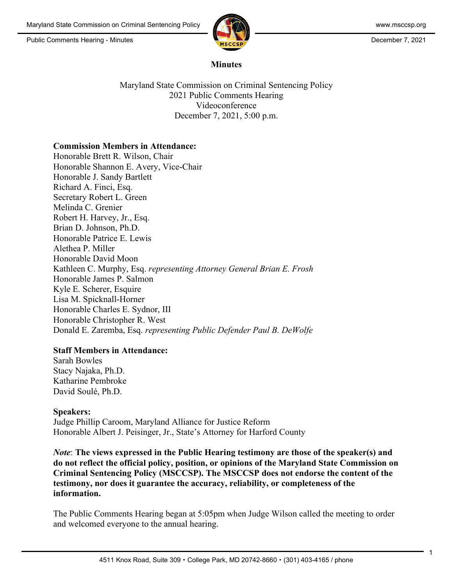

#### **Minutes**

Maryland State Commission on Criminal Sentencing Policy 2021 Public Comments Hearing Videoconference December 7, 2021, 5:00 p.m.

#### **Commission Members in Attendance:**

Honorable Brett R. Wilson, Chair Honorable Shannon E. Avery, Vice-Chair Honorable J. Sandy Bartlett Richard A. Finci, Esq. Secretary Robert L. Green Melinda C. Grenier Robert H. Harvey, Jr., Esq. Brian D. Johnson, Ph.D. Honorable Patrice E. Lewis Alethea P. Miller Honorable David Moon Kathleen C. Murphy, Esq. *representing Attorney General Brian E. Frosh* Honorable James P. Salmon Kyle E. Scherer, Esquire Lisa M. Spicknall-Horner Honorable Charles E. Sydnor, III Honorable Christopher R. West Donald E. Zaremba, Esq. *representing Public Defender Paul B. DeWolfe*

## **Staff Members in Attendance:**

Sarah Bowles Stacy Najaka, Ph.D. Katharine Pembroke David Soulé, Ph.D.

## **Speakers:**

Judge Phillip Caroom, Maryland Alliance for Justice Reform Honorable Albert J. Peisinger, Jr., State's Attorney for Harford County

*Note*: **The views expressed in the Public Hearing testimony are those of the speaker(s) and do not reflect the official policy, position, or opinions of the Maryland State Commission on Criminal Sentencing Policy (MSCCSP). The MSCCSP does not endorse the content of the testimony, nor does it guarantee the accuracy, reliability, or completeness of the information.**

The Public Comments Hearing began at 5:05pm when Judge Wilson called the meeting to order and welcomed everyone to the annual hearing.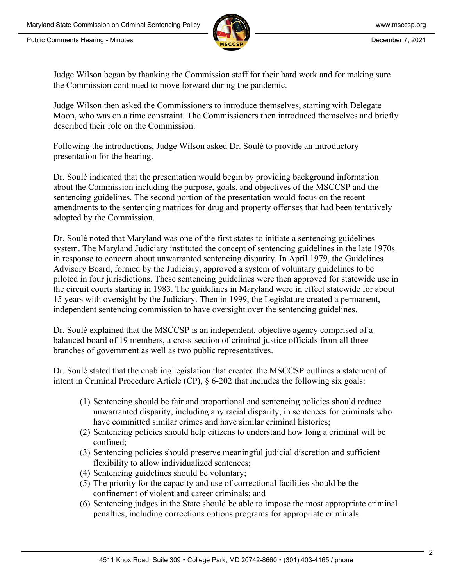

Judge Wilson began by thanking the Commission staff for their hard work and for making sure the Commission continued to move forward during the pandemic.

Judge Wilson then asked the Commissioners to introduce themselves, starting with Delegate Moon, who was on a time constraint. The Commissioners then introduced themselves and briefly described their role on the Commission.

Following the introductions, Judge Wilson asked Dr. Soulé to provide an introductory presentation for the hearing.

Dr. Soulé indicated that the presentation would begin by providing background information about the Commission including the purpose, goals, and objectives of the MSCCSP and the sentencing guidelines. The second portion of the presentation would focus on the recent amendments to the sentencing matrices for drug and property offenses that had been tentatively adopted by the Commission.

Dr. Soulé noted that Maryland was one of the first states to initiate a sentencing guidelines system. The Maryland Judiciary instituted the concept of sentencing guidelines in the late 1970s in response to concern about unwarranted sentencing disparity. In April 1979, the Guidelines Advisory Board, formed by the Judiciary, approved a system of voluntary guidelines to be piloted in four jurisdictions. These sentencing guidelines were then approved for statewide use in the circuit courts starting in 1983. The guidelines in Maryland were in effect statewide for about 15 years with oversight by the Judiciary. Then in 1999, the Legislature created a permanent, independent sentencing commission to have oversight over the sentencing guidelines.

Dr. Soulé explained that the MSCCSP is an independent, objective agency comprised of a balanced board of 19 members, a cross-section of criminal justice officials from all three branches of government as well as two public representatives.

Dr. Soulé stated that the enabling legislation that created the MSCCSP outlines a statement of intent in Criminal Procedure Article (CP), § 6-202 that includes the following six goals:

- (1) Sentencing should be fair and proportional and sentencing policies should reduce unwarranted disparity, including any racial disparity, in sentences for criminals who have committed similar crimes and have similar criminal histories;
- (2) Sentencing policies should help citizens to understand how long a criminal will be confined;
- (3) Sentencing policies should preserve meaningful judicial discretion and sufficient flexibility to allow individualized sentences;
- (4) Sentencing guidelines should be voluntary;
- (5) The priority for the capacity and use of correctional facilities should be the confinement of violent and career criminals; and
- (6) Sentencing judges in the State should be able to impose the most appropriate criminal penalties, including corrections options programs for appropriate criminals.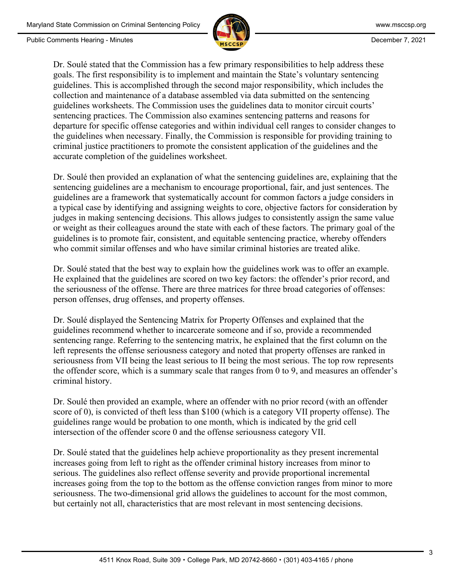

Dr. Soulé stated that the Commission has a few primary responsibilities to help address these goals. The first responsibility is to implement and maintain the State's voluntary sentencing guidelines. This is accomplished through the second major responsibility, which includes the collection and maintenance of a database assembled via data submitted on the sentencing guidelines worksheets. The Commission uses the guidelines data to monitor circuit courts' sentencing practices. The Commission also examines sentencing patterns and reasons for departure for specific offense categories and within individual cell ranges to consider changes to the guidelines when necessary. Finally, the Commission is responsible for providing training to criminal justice practitioners to promote the consistent application of the guidelines and the accurate completion of the guidelines worksheet.

Dr. Soulé then provided an explanation of what the sentencing guidelines are, explaining that the sentencing guidelines are a mechanism to encourage proportional, fair, and just sentences. The guidelines are a framework that systematically account for common factors a judge considers in a typical case by identifying and assigning weights to core, objective factors for consideration by judges in making sentencing decisions. This allows judges to consistently assign the same value or weight as their colleagues around the state with each of these factors. The primary goal of the guidelines is to promote fair, consistent, and equitable sentencing practice, whereby offenders who commit similar offenses and who have similar criminal histories are treated alike.

Dr. Soulé stated that the best way to explain how the guidelines work was to offer an example. He explained that the guidelines are scored on two key factors: the offender's prior record, and the seriousness of the offense. There are three matrices for three broad categories of offenses: person offenses, drug offenses, and property offenses.

Dr. Soulé displayed the Sentencing Matrix for Property Offenses and explained that the guidelines recommend whether to incarcerate someone and if so, provide a recommended sentencing range. Referring to the sentencing matrix, he explained that the first column on the left represents the offense seriousness category and noted that property offenses are ranked in seriousness from VII being the least serious to II being the most serious. The top row represents the offender score, which is a summary scale that ranges from 0 to 9, and measures an offender's criminal history.

Dr. Soulé then provided an example, where an offender with no prior record (with an offender score of 0), is convicted of theft less than \$100 (which is a category VII property offense). The guidelines range would be probation to one month, which is indicated by the grid cell intersection of the offender score 0 and the offense seriousness category VII.

Dr. Soulé stated that the guidelines help achieve proportionality as they present incremental increases going from left to right as the offender criminal history increases from minor to serious. The guidelines also reflect offense severity and provide proportional incremental increases going from the top to the bottom as the offense conviction ranges from minor to more seriousness. The two-dimensional grid allows the guidelines to account for the most common, but certainly not all, characteristics that are most relevant in most sentencing decisions.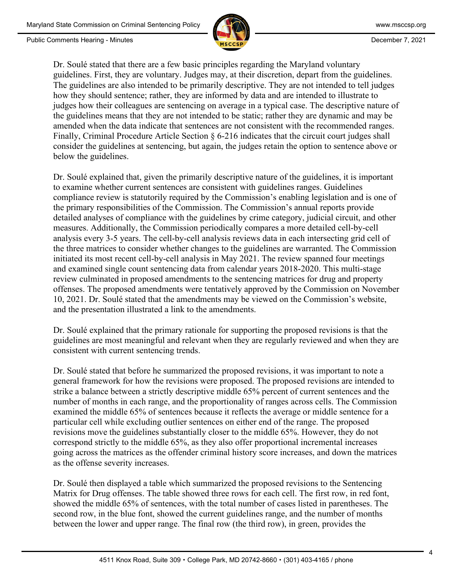

Dr. Soulé stated that there are a few basic principles regarding the Maryland voluntary guidelines. First, they are voluntary. Judges may, at their discretion, depart from the guidelines. The guidelines are also intended to be primarily descriptive. They are not intended to tell judges how they should sentence; rather, they are informed by data and are intended to illustrate to judges how their colleagues are sentencing on average in a typical case. The descriptive nature of the guidelines means that they are not intended to be static; rather they are dynamic and may be amended when the data indicate that sentences are not consistent with the recommended ranges. Finally, Criminal Procedure Article Section § 6-216 indicates that the circuit court judges shall consider the guidelines at sentencing, but again, the judges retain the option to sentence above or below the guidelines.

Dr. Soulé explained that, given the primarily descriptive nature of the guidelines, it is important to examine whether current sentences are consistent with guidelines ranges. Guidelines compliance review is statutorily required by the Commission's enabling legislation and is one of the primary responsibilities of the Commission. The Commission's annual reports provide detailed analyses of compliance with the guidelines by crime category, judicial circuit, and other measures. Additionally, the Commission periodically compares a more detailed cell-by-cell analysis every 3-5 years. The cell-by-cell analysis reviews data in each intersecting grid cell of the three matrices to consider whether changes to the guidelines are warranted. The Commission initiated its most recent cell-by-cell analysis in May 2021. The review spanned four meetings and examined single count sentencing data from calendar years 2018-2020. This multi-stage review culminated in proposed amendments to the sentencing matrices for drug and property offenses. The proposed amendments were tentatively approved by the Commission on November 10, 2021. Dr. Soulé stated that the amendments may be viewed on the Commission's website, and the presentation illustrated a link to the amendments.

Dr. Soulé explained that the primary rationale for supporting the proposed revisions is that the guidelines are most meaningful and relevant when they are regularly reviewed and when they are consistent with current sentencing trends.

Dr. Soulé stated that before he summarized the proposed revisions, it was important to note a general framework for how the revisions were proposed. The proposed revisions are intended to strike a balance between a strictly descriptive middle 65% percent of current sentences and the number of months in each range, and the proportionality of ranges across cells. The Commission examined the middle 65% of sentences because it reflects the average or middle sentence for a particular cell while excluding outlier sentences on either end of the range. The proposed revisions move the guidelines substantially closer to the middle 65%. However, they do not correspond strictly to the middle 65%, as they also offer proportional incremental increases going across the matrices as the offender criminal history score increases, and down the matrices as the offense severity increases.

Dr. Soulé then displayed a table which summarized the proposed revisions to the Sentencing Matrix for Drug offenses. The table showed three rows for each cell. The first row, in red font, showed the middle 65% of sentences, with the total number of cases listed in parentheses. The second row, in the blue font, showed the current guidelines range, and the number of months between the lower and upper range. The final row (the third row), in green, provides the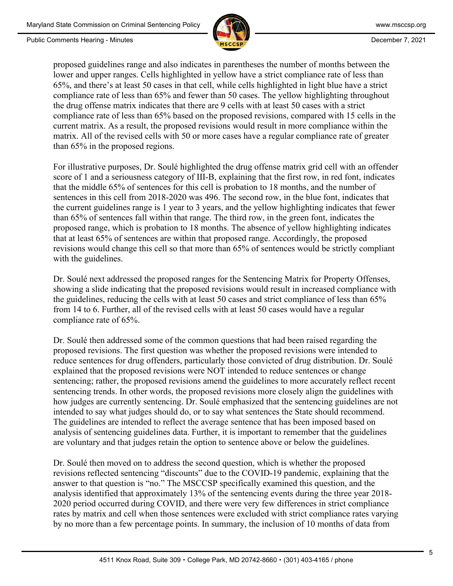

proposed guidelines range and also indicates in parentheses the number of months between the lower and upper ranges. Cells highlighted in yellow have a strict compliance rate of less than 65%, and there's at least 50 cases in that cell, while cells highlighted in light blue have a strict compliance rate of less than 65% and fewer than 50 cases. The yellow highlighting throughout the drug offense matrix indicates that there are 9 cells with at least 50 cases with a strict compliance rate of less than 65% based on the proposed revisions, compared with 15 cells in the current matrix. As a result, the proposed revisions would result in more compliance within the matrix. All of the revised cells with 50 or more cases have a regular compliance rate of greater than 65% in the proposed regions.

For illustrative purposes, Dr. Soulé highlighted the drug offense matrix grid cell with an offender score of 1 and a seriousness category of III-B, explaining that the first row, in red font, indicates that the middle 65% of sentences for this cell is probation to 18 months, and the number of sentences in this cell from 2018-2020 was 496. The second row, in the blue font, indicates that the current guidelines range is 1 year to 3 years, and the yellow highlighting indicates that fewer than 65% of sentences fall within that range. The third row, in the green font, indicates the proposed range, which is probation to 18 months. The absence of yellow highlighting indicates that at least 65% of sentences are within that proposed range. Accordingly, the proposed revisions would change this cell so that more than 65% of sentences would be strictly compliant with the guidelines.

Dr. Soulé next addressed the proposed ranges for the Sentencing Matrix for Property Offenses, showing a slide indicating that the proposed revisions would result in increased compliance with the guidelines, reducing the cells with at least 50 cases and strict compliance of less than 65% from 14 to 6. Further, all of the revised cells with at least 50 cases would have a regular compliance rate of 65%.

Dr. Soulé then addressed some of the common questions that had been raised regarding the proposed revisions. The first question was whether the proposed revisions were intended to reduce sentences for drug offenders, particularly those convicted of drug distribution. Dr. Soulé explained that the proposed revisions were NOT intended to reduce sentences or change sentencing; rather, the proposed revisions amend the guidelines to more accurately reflect recent sentencing trends. In other words, the proposed revisions more closely align the guidelines with how judges are currently sentencing. Dr. Soulé emphasized that the sentencing guidelines are not intended to say what judges should do, or to say what sentences the State should recommend. The guidelines are intended to reflect the average sentence that has been imposed based on analysis of sentencing guidelines data. Further, it is important to remember that the guidelines are voluntary and that judges retain the option to sentence above or below the guidelines.

Dr. Soulé then moved on to address the second question, which is whether the proposed revisions reflected sentencing "discounts" due to the COVID-19 pandemic, explaining that the answer to that question is "no." The MSCCSP specifically examined this question, and the analysis identified that approximately 13% of the sentencing events during the three year 2018- 2020 period occurred during COVID, and there were very few differences in strict compliance rates by matrix and cell when those sentences were excluded with strict compliance rates varying by no more than a few percentage points. In summary, the inclusion of 10 months of data from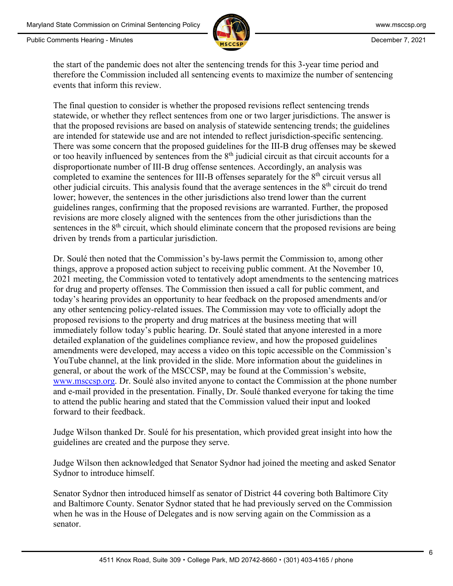Public Comments Hearing - Minutes **December 7, 2021 December 7, 2021** 



the start of the pandemic does not alter the sentencing trends for this 3-year time period and therefore the Commission included all sentencing events to maximize the number of sentencing events that inform this review.

The final question to consider is whether the proposed revisions reflect sentencing trends statewide, or whether they reflect sentences from one or two larger jurisdictions. The answer is that the proposed revisions are based on analysis of statewide sentencing trends; the guidelines are intended for statewide use and are not intended to reflect jurisdiction-specific sentencing. There was some concern that the proposed guidelines for the III-B drug offenses may be skewed or too heavily influenced by sentences from the 8<sup>th</sup> judicial circuit as that circuit accounts for a disproportionate number of III-B drug offense sentences. Accordingly, an analysis was completed to examine the sentences for III-B offenses separately for the  $8<sup>th</sup>$  circuit versus all other judicial circuits. This analysis found that the average sentences in the  $8<sup>th</sup>$  circuit do trend lower; however, the sentences in the other jurisdictions also trend lower than the current guidelines ranges, confirming that the proposed revisions are warranted. Further, the proposed revisions are more closely aligned with the sentences from the other jurisdictions than the sentences in the 8<sup>th</sup> circuit, which should eliminate concern that the proposed revisions are being driven by trends from a particular jurisdiction.

Dr. Soulé then noted that the Commission's by-laws permit the Commission to, among other things, approve a proposed action subject to receiving public comment. At the November 10, 2021 meeting, the Commission voted to tentatively adopt amendments to the sentencing matrices for drug and property offenses. The Commission then issued a call for public comment, and today's hearing provides an opportunity to hear feedback on the proposed amendments and/or any other sentencing policy-related issues. The Commission may vote to officially adopt the proposed revisions to the property and drug matrices at the business meeting that will immediately follow today's public hearing. Dr. Soulé stated that anyone interested in a more detailed explanation of the guidelines compliance review, and how the proposed guidelines amendments were developed, may access a video on this topic accessible on the Commission's YouTube channel, at the link provided in the slide. More information about the guidelines in general, or about the work of the MSCCSP, may be found at the Commission's website, [www.msccsp.org.](about:blank) Dr. Soulé also invited anyone to contact the Commission at the phone number and e-mail provided in the presentation. Finally, Dr. Soulé thanked everyone for taking the time to attend the public hearing and stated that the Commission valued their input and looked forward to their feedback.

Judge Wilson thanked Dr. Soulé for his presentation, which provided great insight into how the guidelines are created and the purpose they serve.

Judge Wilson then acknowledged that Senator Sydnor had joined the meeting and asked Senator Sydnor to introduce himself.

Senator Sydnor then introduced himself as senator of District 44 covering both Baltimore City and Baltimore County. Senator Sydnor stated that he had previously served on the Commission when he was in the House of Delegates and is now serving again on the Commission as a senator.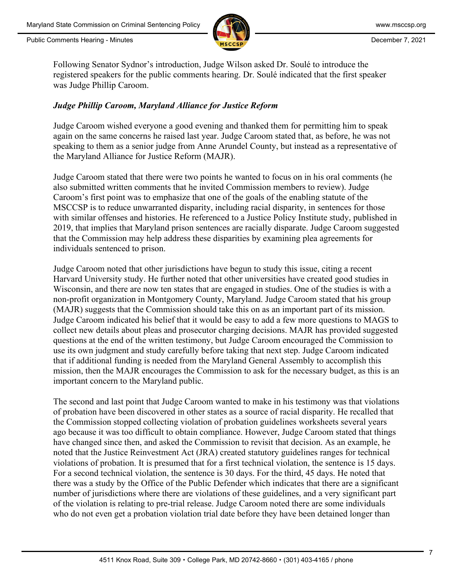

Following Senator Sydnor's introduction, Judge Wilson asked Dr. Soulé to introduce the registered speakers for the public comments hearing. Dr. Soulé indicated that the first speaker was Judge Phillip Caroom.

## *Judge Phillip Caroom, Maryland Alliance for Justice Reform*

Judge Caroom wished everyone a good evening and thanked them for permitting him to speak again on the same concerns he raised last year. Judge Caroom stated that, as before, he was not speaking to them as a senior judge from Anne Arundel County, but instead as a representative of the Maryland Alliance for Justice Reform (MAJR).

Judge Caroom stated that there were two points he wanted to focus on in his oral comments (he also submitted written comments that he invited Commission members to review). Judge Caroom's first point was to emphasize that one of the goals of the enabling statute of the MSCCSP is to reduce unwarranted disparity, including racial disparity, in sentences for those with similar offenses and histories. He referenced to a Justice Policy Institute study, published in 2019, that implies that Maryland prison sentences are racially disparate. Judge Caroom suggested that the Commission may help address these disparities by examining plea agreements for individuals sentenced to prison.

Judge Caroom noted that other jurisdictions have begun to study this issue, citing a recent Harvard University study. He further noted that other universities have created good studies in Wisconsin, and there are now ten states that are engaged in studies. One of the studies is with a non-profit organization in Montgomery County, Maryland. Judge Caroom stated that his group (MAJR) suggests that the Commission should take this on as an important part of its mission. Judge Caroom indicated his belief that it would be easy to add a few more questions to MAGS to collect new details about pleas and prosecutor charging decisions. MAJR has provided suggested questions at the end of the written testimony, but Judge Caroom encouraged the Commission to use its own judgment and study carefully before taking that next step. Judge Caroom indicated that if additional funding is needed from the Maryland General Assembly to accomplish this mission, then the MAJR encourages the Commission to ask for the necessary budget, as this is an important concern to the Maryland public.

The second and last point that Judge Caroom wanted to make in his testimony was that violations of probation have been discovered in other states as a source of racial disparity. He recalled that the Commission stopped collecting violation of probation guidelines worksheets several years ago because it was too difficult to obtain compliance. However, Judge Caroom stated that things have changed since then, and asked the Commission to revisit that decision. As an example, he noted that the Justice Reinvestment Act (JRA) created statutory guidelines ranges for technical violations of probation. It is presumed that for a first technical violation, the sentence is 15 days. For a second technical violation, the sentence is 30 days. For the third, 45 days. He noted that there was a study by the Office of the Public Defender which indicates that there are a significant number of jurisdictions where there are violations of these guidelines, and a very significant part of the violation is relating to pre-trial release. Judge Caroom noted there are some individuals who do not even get a probation violation trial date before they have been detained longer than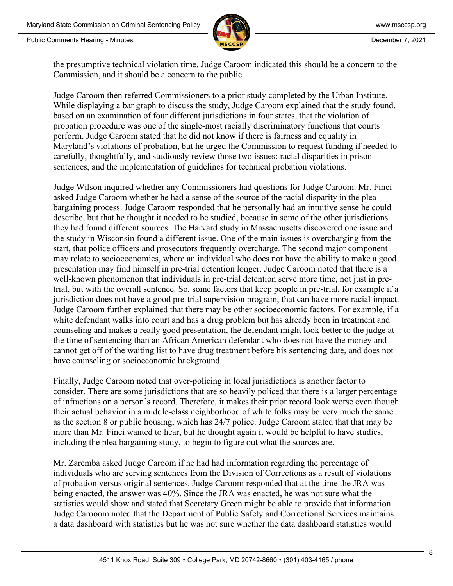

the presumptive technical violation time. Judge Caroom indicated this should be a concern to the Commission, and it should be a concern to the public.

Judge Caroom then referred Commissioners to a prior study completed by the Urban Institute. While displaying a bar graph to discuss the study, Judge Caroom explained that the study found, based on an examination of four different jurisdictions in four states, that the violation of probation procedure was one of the single-most racially discriminatory functions that courts perform. Judge Caroom stated that he did not know if there is fairness and equality in Maryland's violations of probation, but he urged the Commission to request funding if needed to carefully, thoughtfully, and studiously review those two issues: racial disparities in prison sentences, and the implementation of guidelines for technical probation violations.

Judge Wilson inquired whether any Commissioners had questions for Judge Caroom. Mr. Finci asked Judge Caroom whether he had a sense of the source of the racial disparity in the plea bargaining process. Judge Caroom responded that he personally had an intuitive sense he could describe, but that he thought it needed to be studied, because in some of the other jurisdictions they had found different sources. The Harvard study in Massachusetts discovered one issue and the study in Wisconsin found a different issue. One of the main issues is overcharging from the start, that police officers and prosecutors frequently overcharge. The second major component may relate to socioeconomics, where an individual who does not have the ability to make a good presentation may find himself in pre-trial detention longer. Judge Caroom noted that there is a well-known phenomenon that individuals in pre-trial detention serve more time, not just in pretrial, but with the overall sentence. So, some factors that keep people in pre-trial, for example if a jurisdiction does not have a good pre-trial supervision program, that can have more racial impact. Judge Caroom further explained that there may be other socioeconomic factors. For example, if a white defendant walks into court and has a drug problem but has already been in treatment and counseling and makes a really good presentation, the defendant might look better to the judge at the time of sentencing than an African American defendant who does not have the money and cannot get off of the waiting list to have drug treatment before his sentencing date, and does not have counseling or socioeconomic background.

Finally, Judge Caroom noted that over-policing in local jurisdictions is another factor to consider. There are some jurisdictions that are so heavily policed that there is a larger percentage of infractions on a person's record. Therefore, it makes their prior record look worse even though their actual behavior in a middle-class neighborhood of white folks may be very much the same as the section 8 or public housing, which has 24/7 police. Judge Caroom stated that that may be more than Mr. Finci wanted to hear, but he thought again it would be helpful to have studies, including the plea bargaining study, to begin to figure out what the sources are.

Mr. Zaremba asked Judge Caroom if he had had information regarding the percentage of individuals who are serving sentences from the Division of Corrections as a result of violations of probation versus original sentences. Judge Caroom responded that at the time the JRA was being enacted, the answer was 40%. Since the JRA was enacted, he was not sure what the statistics would show and stated that Secretary Green might be able to provide that information. Judge Carooom noted that the Department of Public Safety and Correctional Services maintains a data dashboard with statistics but he was not sure whether the data dashboard statistics would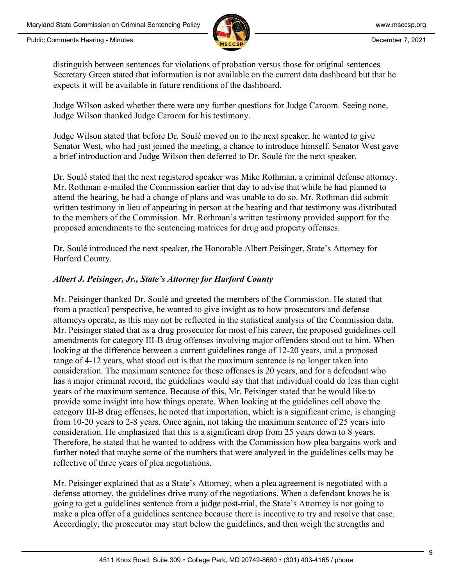

distinguish between sentences for violations of probation versus those for original sentences Secretary Green stated that information is not available on the current data dashboard but that he expects it will be available in future renditions of the dashboard.

Judge Wilson asked whether there were any further questions for Judge Caroom. Seeing none, Judge Wilson thanked Judge Caroom for his testimony.

Judge Wilson stated that before Dr. Soulé moved on to the next speaker, he wanted to give Senator West, who had just joined the meeting, a chance to introduce himself. Senator West gave a brief introduction and Judge Wilson then deferred to Dr. Soulé for the next speaker.

Dr. Soulé stated that the next registered speaker was Mike Rothman, a criminal defense attorney. Mr. Rothman e-mailed the Commission earlier that day to advise that while he had planned to attend the hearing, he had a change of plans and was unable to do so. Mr. Rothman did submit written testimony in lieu of appearing in person at the hearing and that testimony was distributed to the members of the Commission. Mr. Rothman's written testimony provided support for the proposed amendments to the sentencing matrices for drug and property offenses.

Dr. Soulé introduced the next speaker, the Honorable Albert Peisinger, State's Attorney for Harford County.

# *Albert J. Peisinger, Jr., State's Attorney for Harford County*

Mr. Peisinger thanked Dr. Soulé and greeted the members of the Commission. He stated that from a practical perspective, he wanted to give insight as to how prosecutors and defense attorneys operate, as this may not be reflected in the statistical analysis of the Commission data. Mr. Peisinger stated that as a drug prosecutor for most of his career, the proposed guidelines cell amendments for category III-B drug offenses involving major offenders stood out to him. When looking at the difference between a current guidelines range of 12-20 years, and a proposed range of 4-12 years, what stood out is that the maximum sentence is no longer taken into consideration. The maximum sentence for these offenses is 20 years, and for a defendant who has a major criminal record, the guidelines would say that that individual could do less than eight years of the maximum sentence. Because of this, Mr. Peisinger stated that he would like to provide some insight into how things operate. When looking at the guidelines cell above the category III-B drug offenses, he noted that importation, which is a significant crime, is changing from 10-20 years to 2-8 years. Once again, not taking the maximum sentence of 25 years into consideration. He emphasized that this is a significant drop from 25 years down to 8 years. Therefore, he stated that he wanted to address with the Commission how plea bargains work and further noted that maybe some of the numbers that were analyzed in the guidelines cells may be reflective of three years of plea negotiations.

Mr. Peisinger explained that as a State's Attorney, when a plea agreement is negotiated with a defense attorney, the guidelines drive many of the negotiations. When a defendant knows he is going to get a guidelines sentence from a judge post-trial, the State's Attorney is not going to make a plea offer of a guidelines sentence because there is incentive to try and resolve that case. Accordingly, the prosecutor may start below the guidelines, and then weigh the strengths and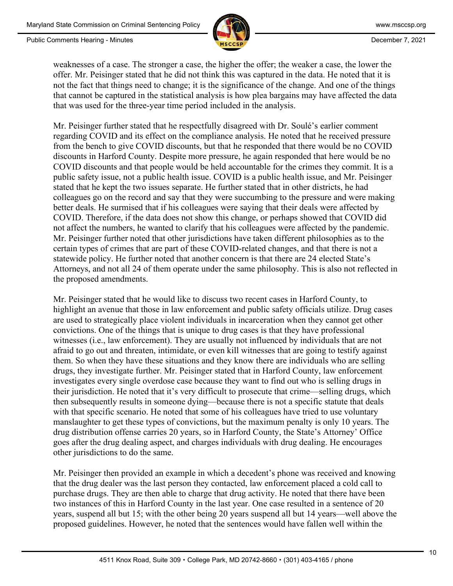

weaknesses of a case. The stronger a case, the higher the offer; the weaker a case, the lower the offer. Mr. Peisinger stated that he did not think this was captured in the data. He noted that it is not the fact that things need to change; it is the significance of the change. And one of the things that cannot be captured in the statistical analysis is how plea bargains may have affected the data that was used for the three-year time period included in the analysis.

Mr. Peisinger further stated that he respectfully disagreed with Dr. Soulé's earlier comment regarding COVID and its effect on the compliance analysis. He noted that he received pressure from the bench to give COVID discounts, but that he responded that there would be no COVID discounts in Harford County. Despite more pressure, he again responded that here would be no COVID discounts and that people would be held accountable for the crimes they commit. It is a public safety issue, not a public health issue. COVID is a public health issue, and Mr. Peisinger stated that he kept the two issues separate. He further stated that in other districts, he had colleagues go on the record and say that they were succumbing to the pressure and were making better deals. He surmised that if his colleagues were saying that their deals were affected by COVID. Therefore, if the data does not show this change, or perhaps showed that COVID did not affect the numbers, he wanted to clarify that his colleagues were affected by the pandemic. Mr. Peisinger further noted that other jurisdictions have taken different philosophies as to the certain types of crimes that are part of these COVID-related changes, and that there is not a statewide policy. He further noted that another concern is that there are 24 elected State's Attorneys, and not all 24 of them operate under the same philosophy. This is also not reflected in the proposed amendments.

Mr. Peisinger stated that he would like to discuss two recent cases in Harford County, to highlight an avenue that those in law enforcement and public safety officials utilize. Drug cases are used to strategically place violent individuals in incarceration when they cannot get other convictions. One of the things that is unique to drug cases is that they have professional witnesses (i.e., law enforcement). They are usually not influenced by individuals that are not afraid to go out and threaten, intimidate, or even kill witnesses that are going to testify against them. So when they have these situations and they know there are individuals who are selling drugs, they investigate further. Mr. Peisinger stated that in Harford County, law enforcement investigates every single overdose case because they want to find out who is selling drugs in their jurisdiction. He noted that it's very difficult to prosecute that crime—selling drugs, which then subsequently results in someone dying—because there is not a specific statute that deals with that specific scenario. He noted that some of his colleagues have tried to use voluntary manslaughter to get these types of convictions, but the maximum penalty is only 10 years. The drug distribution offense carries 20 years, so in Harford County, the State's Attorney' Office goes after the drug dealing aspect, and charges individuals with drug dealing. He encourages other jurisdictions to do the same.

Mr. Peisinger then provided an example in which a decedent's phone was received and knowing that the drug dealer was the last person they contacted, law enforcement placed a cold call to purchase drugs. They are then able to charge that drug activity. He noted that there have been two instances of this in Harford County in the last year. One case resulted in a sentence of 20 years, suspend all but 15; with the other being 20 years suspend all but 14 years—well above the proposed guidelines. However, he noted that the sentences would have fallen well within the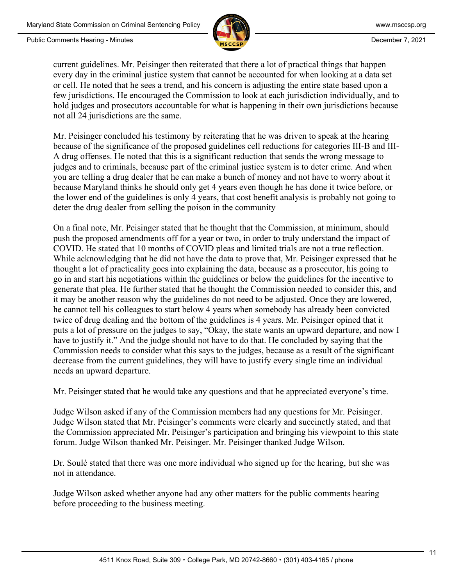

current guidelines. Mr. Peisinger then reiterated that there a lot of practical things that happen every day in the criminal justice system that cannot be accounted for when looking at a data set or cell. He noted that he sees a trend, and his concern is adjusting the entire state based upon a few jurisdictions. He encouraged the Commission to look at each jurisdiction individually, and to hold judges and prosecutors accountable for what is happening in their own jurisdictions because not all 24 jurisdictions are the same.

Mr. Peisinger concluded his testimony by reiterating that he was driven to speak at the hearing because of the significance of the proposed guidelines cell reductions for categories III-B and III-A drug offenses. He noted that this is a significant reduction that sends the wrong message to judges and to criminals, because part of the criminal justice system is to deter crime. And when you are telling a drug dealer that he can make a bunch of money and not have to worry about it because Maryland thinks he should only get 4 years even though he has done it twice before, or the lower end of the guidelines is only 4 years, that cost benefit analysis is probably not going to deter the drug dealer from selling the poison in the community

On a final note, Mr. Peisinger stated that he thought that the Commission, at minimum, should push the proposed amendments off for a year or two, in order to truly understand the impact of COVID. He stated that 10 months of COVID pleas and limited trials are not a true reflection. While acknowledging that he did not have the data to prove that, Mr. Peisinger expressed that he thought a lot of practicality goes into explaining the data, because as a prosecutor, his going to go in and start his negotiations within the guidelines or below the guidelines for the incentive to generate that plea. He further stated that he thought the Commission needed to consider this, and it may be another reason why the guidelines do not need to be adjusted. Once they are lowered, he cannot tell his colleagues to start below 4 years when somebody has already been convicted twice of drug dealing and the bottom of the guidelines is 4 years. Mr. Peisinger opined that it puts a lot of pressure on the judges to say, "Okay, the state wants an upward departure, and now I have to justify it." And the judge should not have to do that. He concluded by saying that the Commission needs to consider what this says to the judges, because as a result of the significant decrease from the current guidelines, they will have to justify every single time an individual needs an upward departure.

Mr. Peisinger stated that he would take any questions and that he appreciated everyone's time.

Judge Wilson asked if any of the Commission members had any questions for Mr. Peisinger. Judge Wilson stated that Mr. Peisinger's comments were clearly and succinctly stated, and that the Commission appreciated Mr. Peisinger's participation and bringing his viewpoint to this state forum. Judge Wilson thanked Mr. Peisinger. Mr. Peisinger thanked Judge Wilson.

Dr. Soulé stated that there was one more individual who signed up for the hearing, but she was not in attendance.

Judge Wilson asked whether anyone had any other matters for the public comments hearing before proceeding to the business meeting.